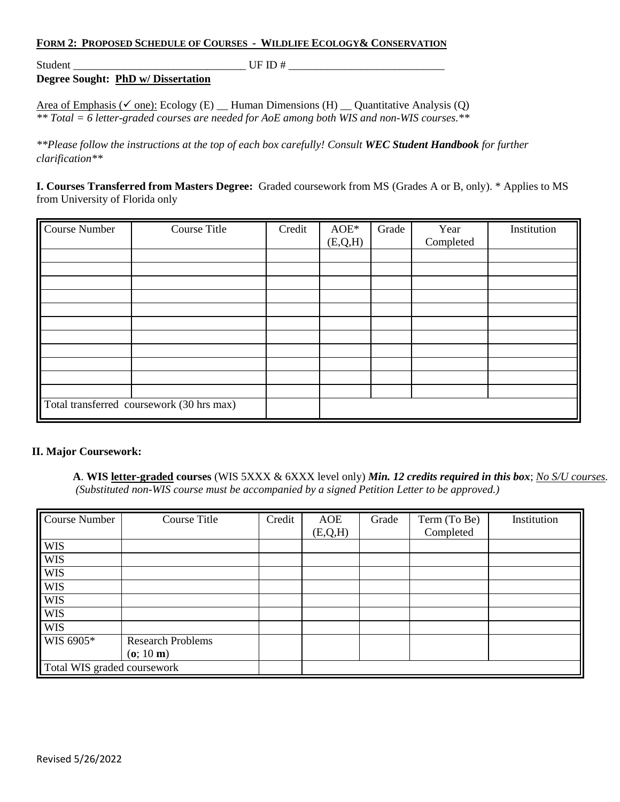## **FORM 2: PROPOSED SCHEDULE OF COURSES - WILDLIFE ECOLOGY& CONSERVATION**

Student \_\_\_\_\_\_\_\_\_\_\_\_\_\_\_\_\_\_\_\_\_\_\_\_\_\_\_\_\_\_\_ UF ID # \_\_\_\_\_\_\_\_\_\_\_\_\_\_\_\_\_\_\_\_\_\_\_\_\_\_\_\_

**Degree Sought: PhD w/ Dissertation**

Area of Emphasis ( $\checkmark$  one): Ecology (E) \_ Human Dimensions (H) \_ Quantitative Analysis (Q) *\*\* Total = 6 letter-graded courses are needed for AoE among both WIS and non-WIS courses.\*\**

*\*\*Please follow the instructions at the top of each box carefully! Consult WEC Student Handbook for further clarification\*\**

**I. Courses Transferred from Masters Degree:** Graded coursework from MS (Grades A or B, only). \* Applies to MS from University of Florida only

| <b>Course Number</b> | Course Title                              | Credit | $AOE*$<br>(E,Q,H) | Grade | Year<br>Completed | Institution |
|----------------------|-------------------------------------------|--------|-------------------|-------|-------------------|-------------|
|                      |                                           |        |                   |       |                   |             |
|                      |                                           |        |                   |       |                   |             |
|                      |                                           |        |                   |       |                   |             |
|                      |                                           |        |                   |       |                   |             |
|                      |                                           |        |                   |       |                   |             |
|                      |                                           |        |                   |       |                   |             |
|                      |                                           |        |                   |       |                   |             |
|                      |                                           |        |                   |       |                   |             |
|                      |                                           |        |                   |       |                   |             |
|                      |                                           |        |                   |       |                   |             |
|                      |                                           |        |                   |       |                   |             |
|                      | Total transferred coursework (30 hrs max) |        |                   |       |                   |             |

## **II. Major Coursework:**

**A**. **WIS letter-graded courses** (WIS 5XXX & 6XXX level only) *Min. 12 credits required in this box*; *No S/U courses. (Substituted non-WIS course must be accompanied by a signed Petition Letter to be approved.)*

| Course Number               | Course Title             | Credit | AOE     | Grade | Term (To Be) | Institution |
|-----------------------------|--------------------------|--------|---------|-------|--------------|-------------|
|                             |                          |        | (E,Q,H) |       | Completed    |             |
| <b>WIS</b>                  |                          |        |         |       |              |             |
| <b>WIS</b>                  |                          |        |         |       |              |             |
| <b>WIS</b>                  |                          |        |         |       |              |             |
| <b>WIS</b>                  |                          |        |         |       |              |             |
| <b>WIS</b>                  |                          |        |         |       |              |             |
| <b>WIS</b>                  |                          |        |         |       |              |             |
| <b>WIS</b>                  |                          |        |         |       |              |             |
| WIS 6905*                   | <b>Research Problems</b> |        |         |       |              |             |
|                             | (o; 10 m)                |        |         |       |              |             |
| Total WIS graded coursework |                          |        |         |       |              |             |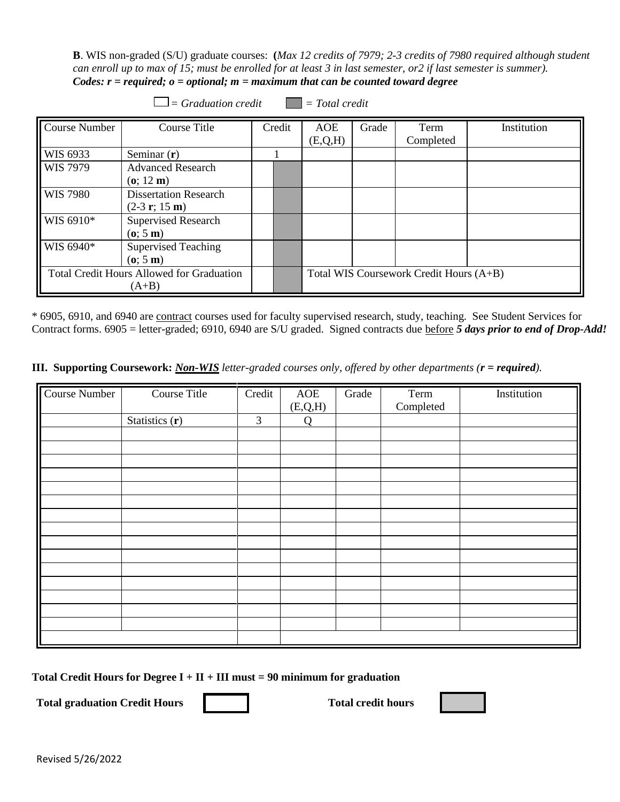**B**. WIS non-graded (S/U) graduate courses: **(***Max 12 credits of 7979; 2-3 credits of 7980 required although student can enroll up to max of 15; must be enrolled for at least 3 in last semester, or2 if last semester is summer). Codes: r = required; o = optional; m = maximum that can be counted toward degree* 

| $\Box$ = Graduation credit $\Box$ = Total credit            |                                                 |  |        |                                         |       |                   |             |  |
|-------------------------------------------------------------|-------------------------------------------------|--|--------|-----------------------------------------|-------|-------------------|-------------|--|
| Course Number                                               | Course Title                                    |  | Credit | AOE<br>(E, Q, H)                        | Grade | Term<br>Completed | Institution |  |
| WIS 6933                                                    | Seminar $(r)$                                   |  |        |                                         |       |                   |             |  |
| <b>WIS</b> 7979                                             | <b>Advanced Research</b><br>(o; 12 m)           |  |        |                                         |       |                   |             |  |
| <b>WIS 7980</b>                                             | <b>Dissertation Research</b><br>$(2-3 r; 15 m)$ |  |        |                                         |       |                   |             |  |
| WIS 6910*                                                   | <b>Supervised Research</b><br>(o; 5 m)          |  |        |                                         |       |                   |             |  |
| WIS 6940*                                                   | <b>Supervised Teaching</b><br>(o; 5 m)          |  |        |                                         |       |                   |             |  |
| <b>Total Credit Hours Allowed for Graduation</b><br>$(A+B)$ |                                                 |  |        | Total WIS Coursework Credit Hours (A+B) |       |                   |             |  |

\* 6905, 6910, and 6940 are contract courses used for faculty supervised research, study, teaching. See Student Services for Contract forms. 6905 = letter-graded; 6910, 6940 are S/U graded. Signed contracts due before *5 days prior to end of Drop-Add!*

**III. Supporting Coursework:** *Non-WIS letter-graded courses only, offered by other departments (r = required).* 

| Course Title | Credit           | AOE            | Grade        | Term | Institution |
|--------------|------------------|----------------|--------------|------|-------------|
|              |                  |                |              |      |             |
|              |                  |                |              |      |             |
|              |                  |                |              |      |             |
|              |                  |                |              |      |             |
|              |                  |                |              |      |             |
|              |                  |                |              |      |             |
|              |                  |                |              |      |             |
|              |                  |                |              |      |             |
|              |                  |                |              |      |             |
|              |                  |                |              |      |             |
|              |                  |                |              |      |             |
|              |                  |                |              |      |             |
|              |                  |                |              |      |             |
|              |                  |                |              |      |             |
|              |                  |                |              |      |             |
|              | Statistics $(r)$ | $\mathfrak{Z}$ | (E,Q,H)<br>Q |      | Completed   |

Total Credit Hours for Degree  $I + II + III$  must = 90 minimum for graduation

Total graduation Credit Hours **Total credit hours** Total credit hours